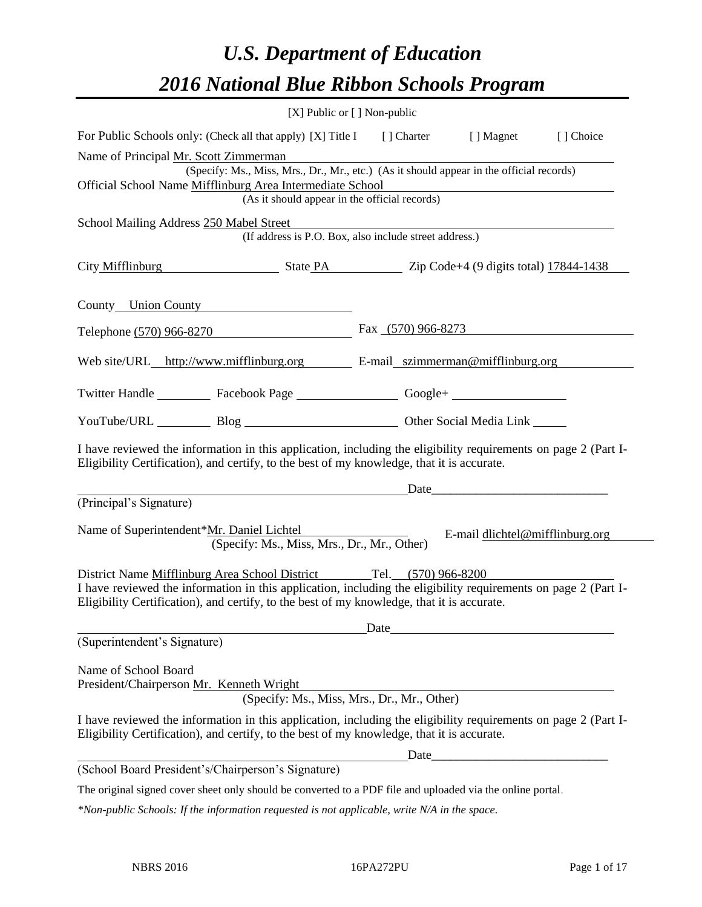# *U.S. Department of Education 2016 National Blue Ribbon Schools Program*

|                                                                                                                                                                                                                                                                                    | [X] Public or [] Non-public |                                                                                                                        |           |
|------------------------------------------------------------------------------------------------------------------------------------------------------------------------------------------------------------------------------------------------------------------------------------|-----------------------------|------------------------------------------------------------------------------------------------------------------------|-----------|
| For Public Schools only: (Check all that apply) [X] Title I [] Charter                                                                                                                                                                                                             |                             | [ ] Magnet                                                                                                             | [] Choice |
| Name of Principal Mr. Scott Zimmerman                                                                                                                                                                                                                                              |                             |                                                                                                                        |           |
| (Specify: Ms., Miss, Mrs., Dr., Mr., etc.) (As it should appear in the official records)                                                                                                                                                                                           |                             |                                                                                                                        |           |
| Official School Name Mifflinburg Area Intermediate School<br>(As it should appear in the official records)                                                                                                                                                                         |                             | <u> 1980 - Johann Stoff, deutscher Stoffen und der Stoffen und der Stoffen und der Stoffen und der Stoffen und der</u> |           |
|                                                                                                                                                                                                                                                                                    |                             |                                                                                                                        |           |
| School Mailing Address 250 Mabel Street<br>(If address is P.O. Box, also include street address.)                                                                                                                                                                                  |                             |                                                                                                                        |           |
| City Mifflinburg State PA Zip Code+4 (9 digits total) 17844-1438                                                                                                                                                                                                                   |                             |                                                                                                                        |           |
| County Union County                                                                                                                                                                                                                                                                |                             |                                                                                                                        |           |
| Telephone (570) 966-8270                                                                                                                                                                                                                                                           | Fax $(570)$ 966-8273        |                                                                                                                        |           |
| Web site/URL_http://www.mifflinburg.org E-mail_szimmerman@mifflinburg.org                                                                                                                                                                                                          |                             |                                                                                                                        |           |
| Twitter Handle ____________ Facebook Page ____________________ Google+ _____________________________                                                                                                                                                                               |                             |                                                                                                                        |           |
| YouTube/URL Blog Blog Discount Other Social Media Link                                                                                                                                                                                                                             |                             |                                                                                                                        |           |
| I have reviewed the information in this application, including the eligibility requirements on page 2 (Part I-<br>Eligibility Certification), and certify, to the best of my knowledge, that it is accurate.                                                                       |                             |                                                                                                                        |           |
|                                                                                                                                                                                                                                                                                    |                             | Date                                                                                                                   |           |
| (Principal's Signature)                                                                                                                                                                                                                                                            |                             |                                                                                                                        |           |
| Name of Superintendent*Mr. Daniel Lichtel Name of Superintendent*Mr. Daniel Lichtel<br>(Specify: Ms., Miss, Mrs., Dr., Mr., Other)                                                                                                                                                 |                             | E-mail dlichtel@mifflinburg.org                                                                                        |           |
| District Name Mifflinburg Area School District Tel. (570) 966-8200<br>I have reviewed the information in this application, including the eligibility requirements on page 2 (Part I-<br>Eligibility Certification), and certify, to the best of my knowledge, that it is accurate. |                             |                                                                                                                        |           |
| (Superintendent's Signature)                                                                                                                                                                                                                                                       | Date                        |                                                                                                                        |           |
|                                                                                                                                                                                                                                                                                    |                             |                                                                                                                        |           |
| Name of School Board                                                                                                                                                                                                                                                               |                             |                                                                                                                        |           |
| President/Chairperson Mr. Kenneth Wright                                                                                                                                                                                                                                           |                             |                                                                                                                        |           |
| (Specify: Ms., Miss, Mrs., Dr., Mr., Other)                                                                                                                                                                                                                                        |                             |                                                                                                                        |           |
| I have reviewed the information in this application, including the eligibility requirements on page 2 (Part I-<br>Eligibility Certification), and certify, to the best of my knowledge, that it is accurate.                                                                       |                             |                                                                                                                        |           |
|                                                                                                                                                                                                                                                                                    |                             |                                                                                                                        |           |
| (School Board President's/Chairperson's Signature)                                                                                                                                                                                                                                 |                             |                                                                                                                        |           |
| The original signed cover sheet only should be converted to a PDF file and uploaded via the online portal.                                                                                                                                                                         |                             |                                                                                                                        |           |

*\*Non-public Schools: If the information requested is not applicable, write N/A in the space.*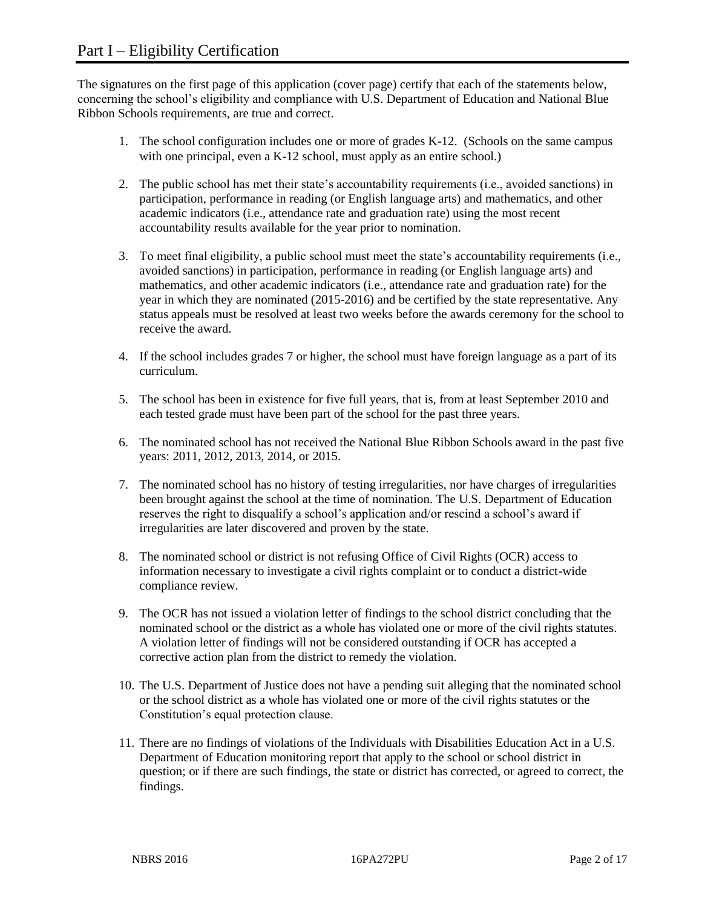The signatures on the first page of this application (cover page) certify that each of the statements below, concerning the school's eligibility and compliance with U.S. Department of Education and National Blue Ribbon Schools requirements, are true and correct.

- 1. The school configuration includes one or more of grades K-12. (Schools on the same campus with one principal, even a K-12 school, must apply as an entire school.)
- 2. The public school has met their state's accountability requirements (i.e., avoided sanctions) in participation, performance in reading (or English language arts) and mathematics, and other academic indicators (i.e., attendance rate and graduation rate) using the most recent accountability results available for the year prior to nomination.
- 3. To meet final eligibility, a public school must meet the state's accountability requirements (i.e., avoided sanctions) in participation, performance in reading (or English language arts) and mathematics, and other academic indicators (i.e., attendance rate and graduation rate) for the year in which they are nominated (2015-2016) and be certified by the state representative. Any status appeals must be resolved at least two weeks before the awards ceremony for the school to receive the award.
- 4. If the school includes grades 7 or higher, the school must have foreign language as a part of its curriculum.
- 5. The school has been in existence for five full years, that is, from at least September 2010 and each tested grade must have been part of the school for the past three years.
- 6. The nominated school has not received the National Blue Ribbon Schools award in the past five years: 2011, 2012, 2013, 2014, or 2015.
- 7. The nominated school has no history of testing irregularities, nor have charges of irregularities been brought against the school at the time of nomination. The U.S. Department of Education reserves the right to disqualify a school's application and/or rescind a school's award if irregularities are later discovered and proven by the state.
- 8. The nominated school or district is not refusing Office of Civil Rights (OCR) access to information necessary to investigate a civil rights complaint or to conduct a district-wide compliance review.
- 9. The OCR has not issued a violation letter of findings to the school district concluding that the nominated school or the district as a whole has violated one or more of the civil rights statutes. A violation letter of findings will not be considered outstanding if OCR has accepted a corrective action plan from the district to remedy the violation.
- 10. The U.S. Department of Justice does not have a pending suit alleging that the nominated school or the school district as a whole has violated one or more of the civil rights statutes or the Constitution's equal protection clause.
- 11. There are no findings of violations of the Individuals with Disabilities Education Act in a U.S. Department of Education monitoring report that apply to the school or school district in question; or if there are such findings, the state or district has corrected, or agreed to correct, the findings.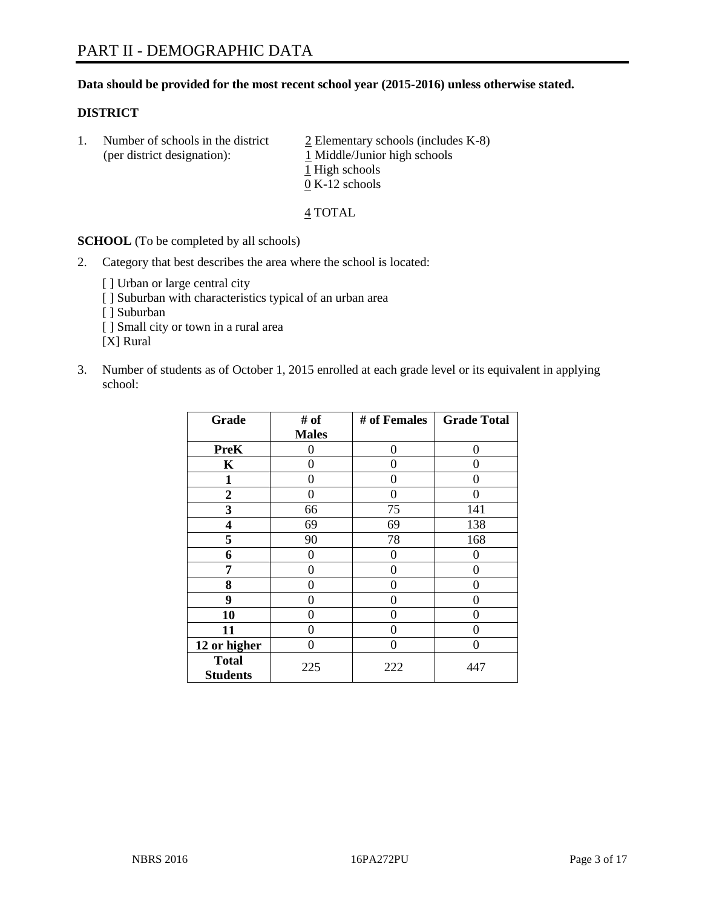# **Data should be provided for the most recent school year (2015-2016) unless otherwise stated.**

# **DISTRICT**

1. Number of schools in the district  $\frac{2}{2}$  Elementary schools (includes K-8) (per district designation):  $1$  Middle/Junior high schools 1 High schools 0 K-12 schools

#### 4 TOTAL

**SCHOOL** (To be completed by all schools)

- 2. Category that best describes the area where the school is located:
	- [] Urban or large central city [ ] Suburban with characteristics typical of an urban area [ ] Suburban [ ] Small city or town in a rural area [X] Rural
- 3. Number of students as of October 1, 2015 enrolled at each grade level or its equivalent in applying school:

| Grade                           | # of         | # of Females | <b>Grade Total</b> |
|---------------------------------|--------------|--------------|--------------------|
|                                 | <b>Males</b> |              |                    |
| <b>PreK</b>                     | 0            | 0            | 0                  |
| K                               | 0            | 0            | $\mathbf{\Omega}$  |
| 1                               | 0            | 0            | 0                  |
| 2                               | 0            | 0            |                    |
| 3                               | 66           | 75           | 141                |
| 4                               | 69           | 69           | 138                |
| 5                               | 90           | 78           | 168                |
| 6                               | 0            | 0            | $\Omega$           |
| 7                               | 0            | 0            | $\Omega$           |
| 8                               | 0            | 0            | $\Omega$           |
| 9                               | 0            | 0            | $\theta$           |
| 10                              | 0            | 0            | $\Omega$           |
| 11                              | 0            | 0            | $\Omega$           |
| 12 or higher                    | 0            | 0            | $\Omega$           |
| <b>Total</b><br><b>Students</b> | 225          | 222          | 447                |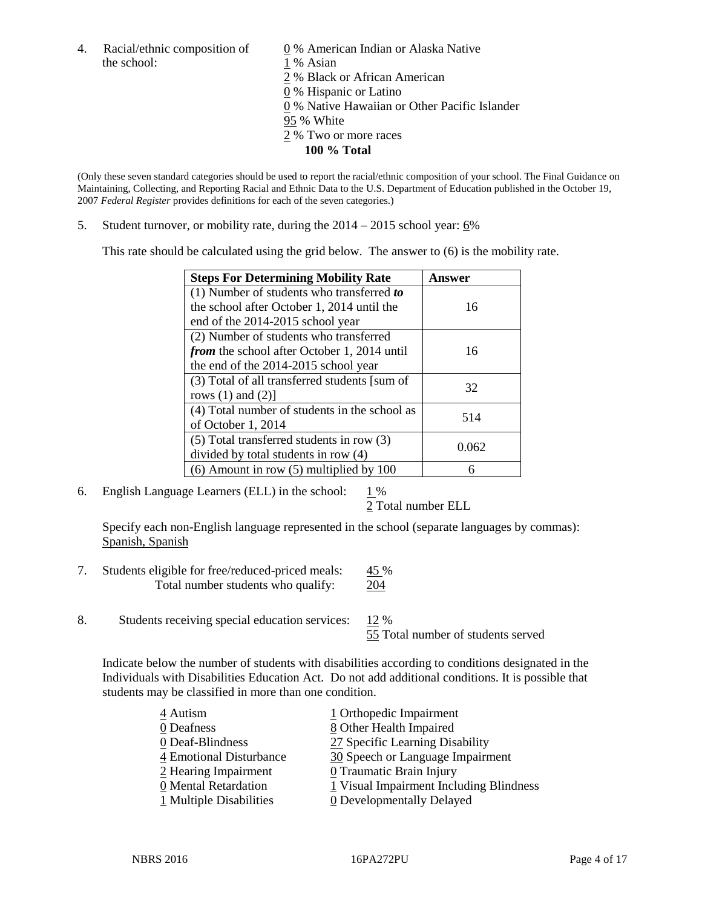4. Racial/ethnic composition of  $\underline{0}$  % American Indian or Alaska Native the school: 1 % Asian

 % Black or African American % Hispanic or Latino % Native Hawaiian or Other Pacific Islander 95 % White % Two or more races **100 % Total**

(Only these seven standard categories should be used to report the racial/ethnic composition of your school. The Final Guidance on Maintaining, Collecting, and Reporting Racial and Ethnic Data to the U.S. Department of Education published in the October 19, 2007 *Federal Register* provides definitions for each of the seven categories.)

5. Student turnover, or mobility rate, during the  $2014 - 2015$  school year:  $6\%$ 

This rate should be calculated using the grid below. The answer to (6) is the mobility rate.

| <b>Steps For Determining Mobility Rate</b>         | Answer |  |
|----------------------------------------------------|--------|--|
| $(1)$ Number of students who transferred to        |        |  |
| the school after October 1, 2014 until the         | 16     |  |
| end of the 2014-2015 school year                   |        |  |
| (2) Number of students who transferred             |        |  |
| <i>from</i> the school after October 1, 2014 until | 16     |  |
| the end of the 2014-2015 school year               |        |  |
| (3) Total of all transferred students [sum of      | 32     |  |
| rows $(1)$ and $(2)$ ]                             |        |  |
| (4) Total number of students in the school as      | 514    |  |
| of October 1, 2014                                 |        |  |
| (5) Total transferred students in row (3)          | 0.062  |  |
| divided by total students in row (4)               |        |  |
| $(6)$ Amount in row $(5)$ multiplied by 100        |        |  |

6. English Language Learners (ELL) in the school:  $1\%$ 

2 Total number ELL

Specify each non-English language represented in the school (separate languages by commas): Spanish, Spanish

- 7. Students eligible for free/reduced-priced meals: 45 % Total number students who qualify: 204
- 8. Students receiving special education services: 12 %

55 Total number of students served

Indicate below the number of students with disabilities according to conditions designated in the Individuals with Disabilities Education Act. Do not add additional conditions. It is possible that students may be classified in more than one condition.

| 4 Autism                | 1 Orthopedic Impairment                 |
|-------------------------|-----------------------------------------|
| 0 Deafness              | 8 Other Health Impaired                 |
| 0 Deaf-Blindness        | 27 Specific Learning Disability         |
| 4 Emotional Disturbance | 30 Speech or Language Impairment        |
| 2 Hearing Impairment    | 0 Traumatic Brain Injury                |
| 0 Mental Retardation    | 1 Visual Impairment Including Blindness |
| 1 Multiple Disabilities | 0 Developmentally Delayed               |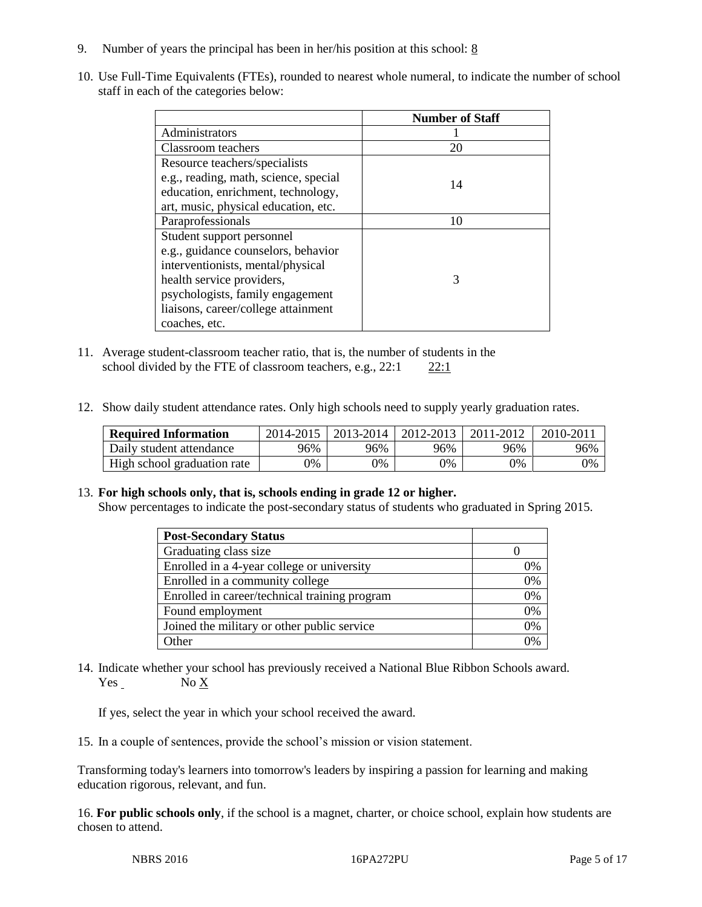- 9. Number of years the principal has been in her/his position at this school:  $8$
- 10. Use Full-Time Equivalents (FTEs), rounded to nearest whole numeral, to indicate the number of school staff in each of the categories below:

|                                       | <b>Number of Staff</b> |
|---------------------------------------|------------------------|
| Administrators                        |                        |
| Classroom teachers                    | 20                     |
| Resource teachers/specialists         |                        |
| e.g., reading, math, science, special | 14                     |
| education, enrichment, technology,    |                        |
| art, music, physical education, etc.  |                        |
| Paraprofessionals                     | 10                     |
| Student support personnel             |                        |
| e.g., guidance counselors, behavior   |                        |
| interventionists, mental/physical     |                        |
| health service providers,             | 3                      |
| psychologists, family engagement      |                        |
| liaisons, career/college attainment   |                        |
| coaches, etc.                         |                        |

- 11. Average student-classroom teacher ratio, that is, the number of students in the school divided by the FTE of classroom teachers, e.g.,  $22:1$  22:1
- 12. Show daily student attendance rates. Only high schools need to supply yearly graduation rates.

| <b>Required Information</b> | 2014-2015 | 2013-2014  | 2012-2013 | 2011-2012 | $2010 - 201$ |
|-----------------------------|-----------|------------|-----------|-----------|--------------|
| Daily student attendance    | 96%       | 96%        | 96%       | 96%       | 96%          |
| High school graduation rate | 0%        | $\gamma\%$ | 0%        | 9%        | 0%           |

# 13. **For high schools only, that is, schools ending in grade 12 or higher.**

Show percentages to indicate the post-secondary status of students who graduated in Spring 2015.

| <b>Post-Secondary Status</b>                  |    |
|-----------------------------------------------|----|
| Graduating class size                         |    |
| Enrolled in a 4-year college or university    | 0% |
| Enrolled in a community college               | 0% |
| Enrolled in career/technical training program | 0% |
| Found employment                              | 0% |
| Joined the military or other public service   | 0% |
| Other                                         | በ% |

14. Indicate whether your school has previously received a National Blue Ribbon Schools award. Yes No X

If yes, select the year in which your school received the award.

15. In a couple of sentences, provide the school's mission or vision statement.

Transforming today's learners into tomorrow's leaders by inspiring a passion for learning and making education rigorous, relevant, and fun.

16. **For public schools only**, if the school is a magnet, charter, or choice school, explain how students are chosen to attend.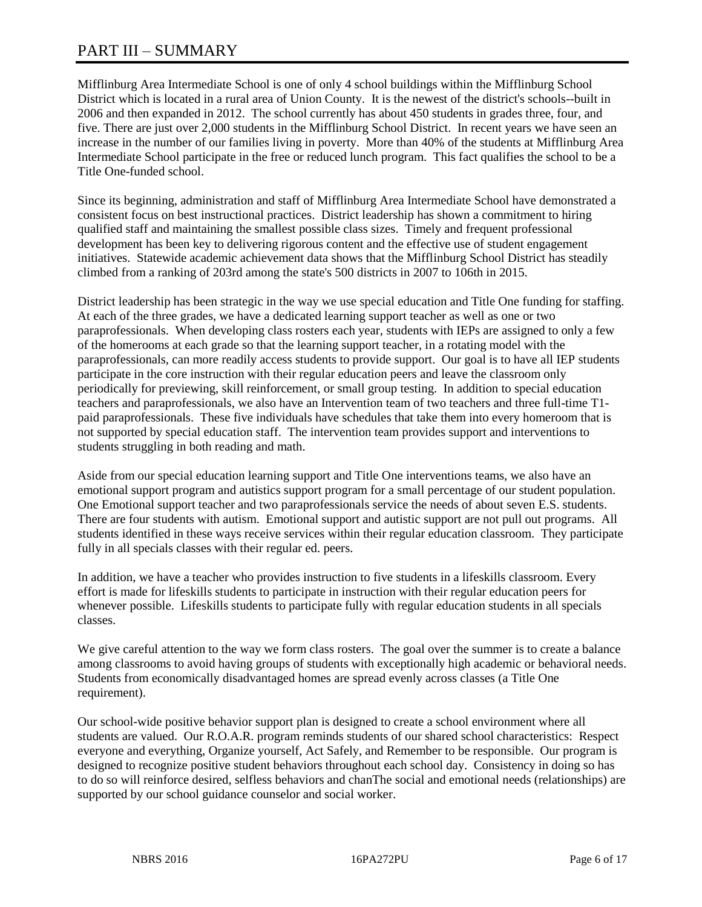# PART III – SUMMARY

Mifflinburg Area Intermediate School is one of only 4 school buildings within the Mifflinburg School District which is located in a rural area of Union County. It is the newest of the district's schools--built in 2006 and then expanded in 2012. The school currently has about 450 students in grades three, four, and five. There are just over 2,000 students in the Mifflinburg School District. In recent years we have seen an increase in the number of our families living in poverty. More than 40% of the students at Mifflinburg Area Intermediate School participate in the free or reduced lunch program. This fact qualifies the school to be a Title One-funded school.

Since its beginning, administration and staff of Mifflinburg Area Intermediate School have demonstrated a consistent focus on best instructional practices. District leadership has shown a commitment to hiring qualified staff and maintaining the smallest possible class sizes. Timely and frequent professional development has been key to delivering rigorous content and the effective use of student engagement initiatives. Statewide academic achievement data shows that the Mifflinburg School District has steadily climbed from a ranking of 203rd among the state's 500 districts in 2007 to 106th in 2015.

District leadership has been strategic in the way we use special education and Title One funding for staffing. At each of the three grades, we have a dedicated learning support teacher as well as one or two paraprofessionals. When developing class rosters each year, students with IEPs are assigned to only a few of the homerooms at each grade so that the learning support teacher, in a rotating model with the paraprofessionals, can more readily access students to provide support. Our goal is to have all IEP students participate in the core instruction with their regular education peers and leave the classroom only periodically for previewing, skill reinforcement, or small group testing. In addition to special education teachers and paraprofessionals, we also have an Intervention team of two teachers and three full-time T1 paid paraprofessionals. These five individuals have schedules that take them into every homeroom that is not supported by special education staff. The intervention team provides support and interventions to students struggling in both reading and math.

Aside from our special education learning support and Title One interventions teams, we also have an emotional support program and autistics support program for a small percentage of our student population. One Emotional support teacher and two paraprofessionals service the needs of about seven E.S. students. There are four students with autism. Emotional support and autistic support are not pull out programs. All students identified in these ways receive services within their regular education classroom. They participate fully in all specials classes with their regular ed. peers.

In addition, we have a teacher who provides instruction to five students in a lifeskills classroom. Every effort is made for lifeskills students to participate in instruction with their regular education peers for whenever possible. Lifeskills students to participate fully with regular education students in all specials classes.

We give careful attention to the way we form class rosters. The goal over the summer is to create a balance among classrooms to avoid having groups of students with exceptionally high academic or behavioral needs. Students from economically disadvantaged homes are spread evenly across classes (a Title One requirement).

Our school-wide positive behavior support plan is designed to create a school environment where all students are valued. Our R.O.A.R. program reminds students of our shared school characteristics: Respect everyone and everything, Organize yourself, Act Safely, and Remember to be responsible. Our program is designed to recognize positive student behaviors throughout each school day. Consistency in doing so has to do so will reinforce desired, selfless behaviors and chanThe social and emotional needs (relationships) are supported by our school guidance counselor and social worker.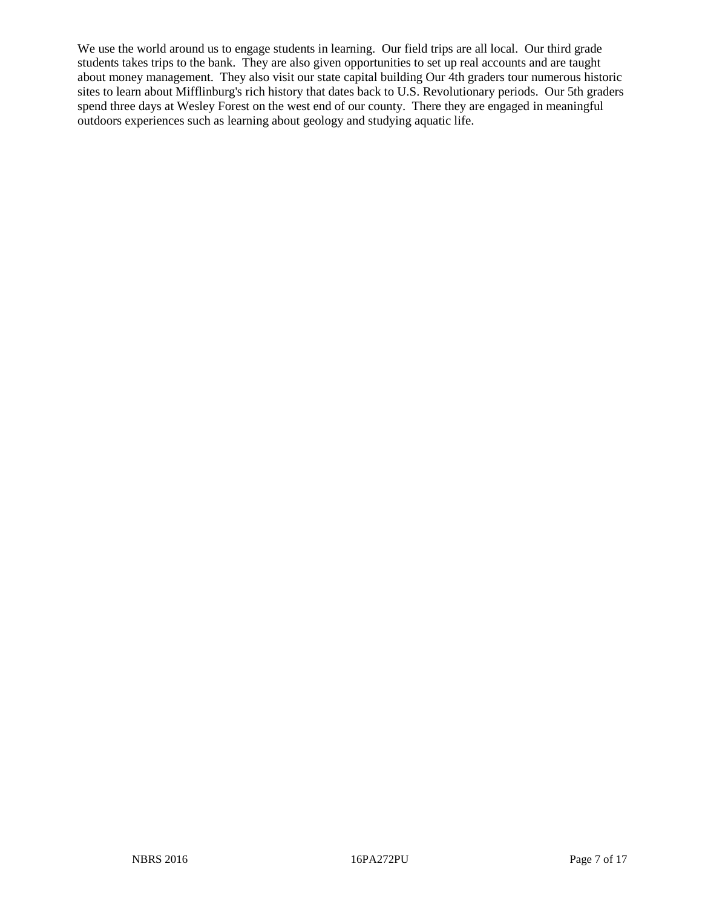We use the world around us to engage students in learning. Our field trips are all local. Our third grade students takes trips to the bank. They are also given opportunities to set up real accounts and are taught about money management. They also visit our state capital building Our 4th graders tour numerous historic sites to learn about Mifflinburg's rich history that dates back to U.S. Revolutionary periods. Our 5th graders spend three days at Wesley Forest on the west end of our county. There they are engaged in meaningful outdoors experiences such as learning about geology and studying aquatic life.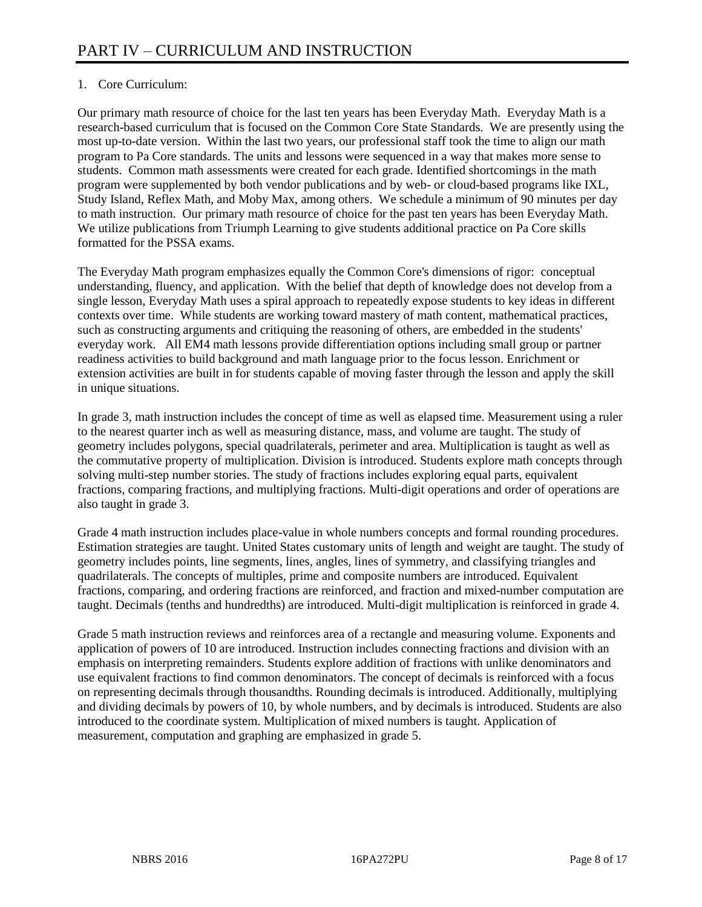# 1. Core Curriculum:

Our primary math resource of choice for the last ten years has been Everyday Math. Everyday Math is a research-based curriculum that is focused on the Common Core State Standards. We are presently using the most up-to-date version. Within the last two years, our professional staff took the time to align our math program to Pa Core standards. The units and lessons were sequenced in a way that makes more sense to students. Common math assessments were created for each grade. Identified shortcomings in the math program were supplemented by both vendor publications and by web- or cloud-based programs like IXL, Study Island, Reflex Math, and Moby Max, among others. We schedule a minimum of 90 minutes per day to math instruction. Our primary math resource of choice for the past ten years has been Everyday Math. We utilize publications from Triumph Learning to give students additional practice on Pa Core skills formatted for the PSSA exams.

The Everyday Math program emphasizes equally the Common Core's dimensions of rigor: conceptual understanding, fluency, and application. With the belief that depth of knowledge does not develop from a single lesson, Everyday Math uses a spiral approach to repeatedly expose students to key ideas in different contexts over time. While students are working toward mastery of math content, mathematical practices, such as constructing arguments and critiquing the reasoning of others, are embedded in the students' everyday work. All EM4 math lessons provide differentiation options including small group or partner readiness activities to build background and math language prior to the focus lesson. Enrichment or extension activities are built in for students capable of moving faster through the lesson and apply the skill in unique situations.

In grade 3, math instruction includes the concept of time as well as elapsed time. Measurement using a ruler to the nearest quarter inch as well as measuring distance, mass, and volume are taught. The study of geometry includes polygons, special quadrilaterals, perimeter and area. Multiplication is taught as well as the commutative property of multiplication. Division is introduced. Students explore math concepts through solving multi-step number stories. The study of fractions includes exploring equal parts, equivalent fractions, comparing fractions, and multiplying fractions. Multi-digit operations and order of operations are also taught in grade 3.

Grade 4 math instruction includes place-value in whole numbers concepts and formal rounding procedures. Estimation strategies are taught. United States customary units of length and weight are taught. The study of geometry includes points, line segments, lines, angles, lines of symmetry, and classifying triangles and quadrilaterals. The concepts of multiples, prime and composite numbers are introduced. Equivalent fractions, comparing, and ordering fractions are reinforced, and fraction and mixed-number computation are taught. Decimals (tenths and hundredths) are introduced. Multi-digit multiplication is reinforced in grade 4.

Grade 5 math instruction reviews and reinforces area of a rectangle and measuring volume. Exponents and application of powers of 10 are introduced. Instruction includes connecting fractions and division with an emphasis on interpreting remainders. Students explore addition of fractions with unlike denominators and use equivalent fractions to find common denominators. The concept of decimals is reinforced with a focus on representing decimals through thousandths. Rounding decimals is introduced. Additionally, multiplying and dividing decimals by powers of 10, by whole numbers, and by decimals is introduced. Students are also introduced to the coordinate system. Multiplication of mixed numbers is taught. Application of measurement, computation and graphing are emphasized in grade 5.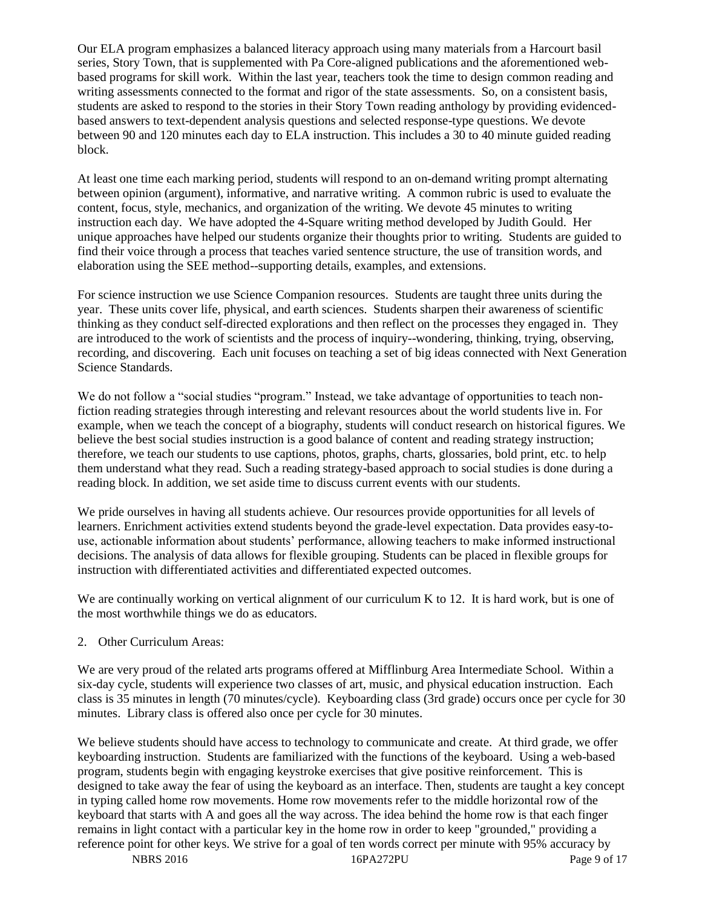Our ELA program emphasizes a balanced literacy approach using many materials from a Harcourt basil series, Story Town, that is supplemented with Pa Core-aligned publications and the aforementioned webbased programs for skill work. Within the last year, teachers took the time to design common reading and writing assessments connected to the format and rigor of the state assessments. So, on a consistent basis, students are asked to respond to the stories in their Story Town reading anthology by providing evidencedbased answers to text-dependent analysis questions and selected response-type questions. We devote between 90 and 120 minutes each day to ELA instruction. This includes a 30 to 40 minute guided reading block.

At least one time each marking period, students will respond to an on-demand writing prompt alternating between opinion (argument), informative, and narrative writing. A common rubric is used to evaluate the content, focus, style, mechanics, and organization of the writing. We devote 45 minutes to writing instruction each day. We have adopted the 4-Square writing method developed by Judith Gould. Her unique approaches have helped our students organize their thoughts prior to writing. Students are guided to find their voice through a process that teaches varied sentence structure, the use of transition words, and elaboration using the SEE method--supporting details, examples, and extensions.

For science instruction we use Science Companion resources. Students are taught three units during the year. These units cover life, physical, and earth sciences. Students sharpen their awareness of scientific thinking as they conduct self-directed explorations and then reflect on the processes they engaged in. They are introduced to the work of scientists and the process of inquiry--wondering, thinking, trying, observing, recording, and discovering. Each unit focuses on teaching a set of big ideas connected with Next Generation Science Standards.

We do not follow a "social studies "program." Instead, we take advantage of opportunities to teach nonfiction reading strategies through interesting and relevant resources about the world students live in. For example, when we teach the concept of a biography, students will conduct research on historical figures. We believe the best social studies instruction is a good balance of content and reading strategy instruction; therefore, we teach our students to use captions, photos, graphs, charts, glossaries, bold print, etc. to help them understand what they read. Such a reading strategy-based approach to social studies is done during a reading block. In addition, we set aside time to discuss current events with our students.

We pride ourselves in having all students achieve. Our resources provide opportunities for all levels of learners. Enrichment activities extend students beyond the grade-level expectation. Data provides easy-touse, actionable information about students' performance, allowing teachers to make informed instructional decisions. The analysis of data allows for flexible grouping. Students can be placed in flexible groups for instruction with differentiated activities and differentiated expected outcomes.

We are continually working on vertical alignment of our curriculum K to 12. It is hard work, but is one of the most worthwhile things we do as educators.

# 2. Other Curriculum Areas:

We are very proud of the related arts programs offered at Mifflinburg Area Intermediate School. Within a six-day cycle, students will experience two classes of art, music, and physical education instruction. Each class is 35 minutes in length (70 minutes/cycle). Keyboarding class (3rd grade) occurs once per cycle for 30 minutes. Library class is offered also once per cycle for 30 minutes.

We believe students should have access to technology to communicate and create. At third grade, we offer keyboarding instruction. Students are familiarized with the functions of the keyboard. Using a web-based program, students begin with engaging keystroke exercises that give positive reinforcement. This is designed to take away the fear of using the keyboard as an interface. Then, students are taught a key concept in typing called home row movements. Home row movements refer to the middle horizontal row of the keyboard that starts with A and goes all the way across. The idea behind the home row is that each finger remains in light contact with a particular key in the home row in order to keep "grounded," providing a reference point for other keys. We strive for a goal of ten words correct per minute with 95% accuracy by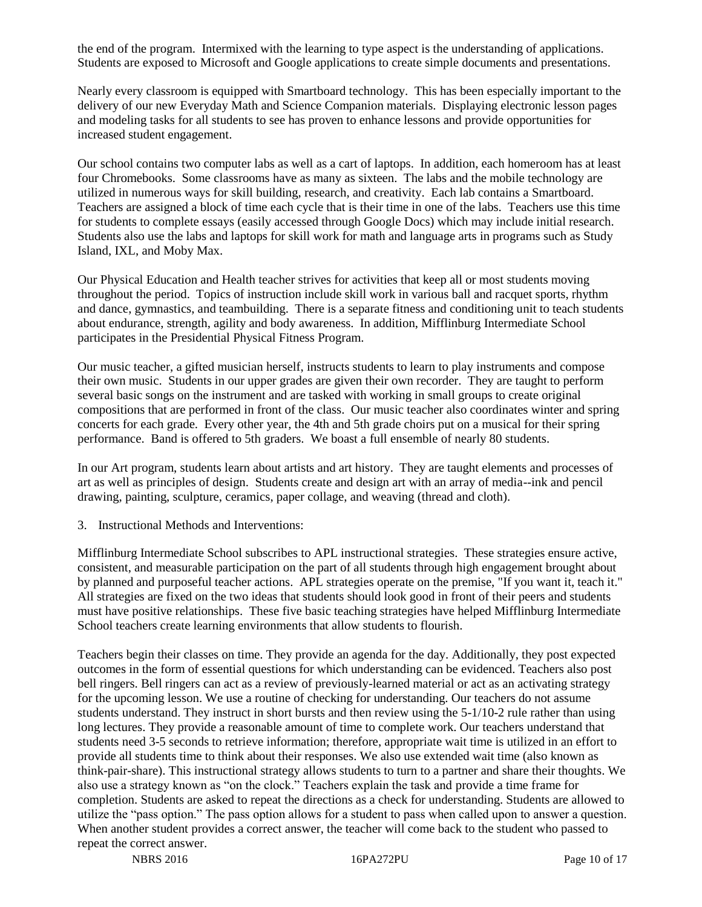the end of the program. Intermixed with the learning to type aspect is the understanding of applications. Students are exposed to Microsoft and Google applications to create simple documents and presentations.

Nearly every classroom is equipped with Smartboard technology. This has been especially important to the delivery of our new Everyday Math and Science Companion materials. Displaying electronic lesson pages and modeling tasks for all students to see has proven to enhance lessons and provide opportunities for increased student engagement.

Our school contains two computer labs as well as a cart of laptops. In addition, each homeroom has at least four Chromebooks. Some classrooms have as many as sixteen. The labs and the mobile technology are utilized in numerous ways for skill building, research, and creativity. Each lab contains a Smartboard. Teachers are assigned a block of time each cycle that is their time in one of the labs. Teachers use this time for students to complete essays (easily accessed through Google Docs) which may include initial research. Students also use the labs and laptops for skill work for math and language arts in programs such as Study Island, IXL, and Moby Max.

Our Physical Education and Health teacher strives for activities that keep all or most students moving throughout the period. Topics of instruction include skill work in various ball and racquet sports, rhythm and dance, gymnastics, and teambuilding. There is a separate fitness and conditioning unit to teach students about endurance, strength, agility and body awareness. In addition, Mifflinburg Intermediate School participates in the Presidential Physical Fitness Program.

Our music teacher, a gifted musician herself, instructs students to learn to play instruments and compose their own music. Students in our upper grades are given their own recorder. They are taught to perform several basic songs on the instrument and are tasked with working in small groups to create original compositions that are performed in front of the class. Our music teacher also coordinates winter and spring concerts for each grade. Every other year, the 4th and 5th grade choirs put on a musical for their spring performance. Band is offered to 5th graders. We boast a full ensemble of nearly 80 students.

In our Art program, students learn about artists and art history. They are taught elements and processes of art as well as principles of design. Students create and design art with an array of media--ink and pencil drawing, painting, sculpture, ceramics, paper collage, and weaving (thread and cloth).

3. Instructional Methods and Interventions:

Mifflinburg Intermediate School subscribes to APL instructional strategies. These strategies ensure active, consistent, and measurable participation on the part of all students through high engagement brought about by planned and purposeful teacher actions. APL strategies operate on the premise, "If you want it, teach it." All strategies are fixed on the two ideas that students should look good in front of their peers and students must have positive relationships. These five basic teaching strategies have helped Mifflinburg Intermediate School teachers create learning environments that allow students to flourish.

Teachers begin their classes on time. They provide an agenda for the day. Additionally, they post expected outcomes in the form of essential questions for which understanding can be evidenced. Teachers also post bell ringers. Bell ringers can act as a review of previously-learned material or act as an activating strategy for the upcoming lesson. We use a routine of checking for understanding. Our teachers do not assume students understand. They instruct in short bursts and then review using the 5-1/10-2 rule rather than using long lectures. They provide a reasonable amount of time to complete work. Our teachers understand that students need 3-5 seconds to retrieve information; therefore, appropriate wait time is utilized in an effort to provide all students time to think about their responses. We also use extended wait time (also known as think-pair-share). This instructional strategy allows students to turn to a partner and share their thoughts. We also use a strategy known as "on the clock." Teachers explain the task and provide a time frame for completion. Students are asked to repeat the directions as a check for understanding. Students are allowed to utilize the "pass option." The pass option allows for a student to pass when called upon to answer a question. When another student provides a correct answer, the teacher will come back to the student who passed to repeat the correct answer.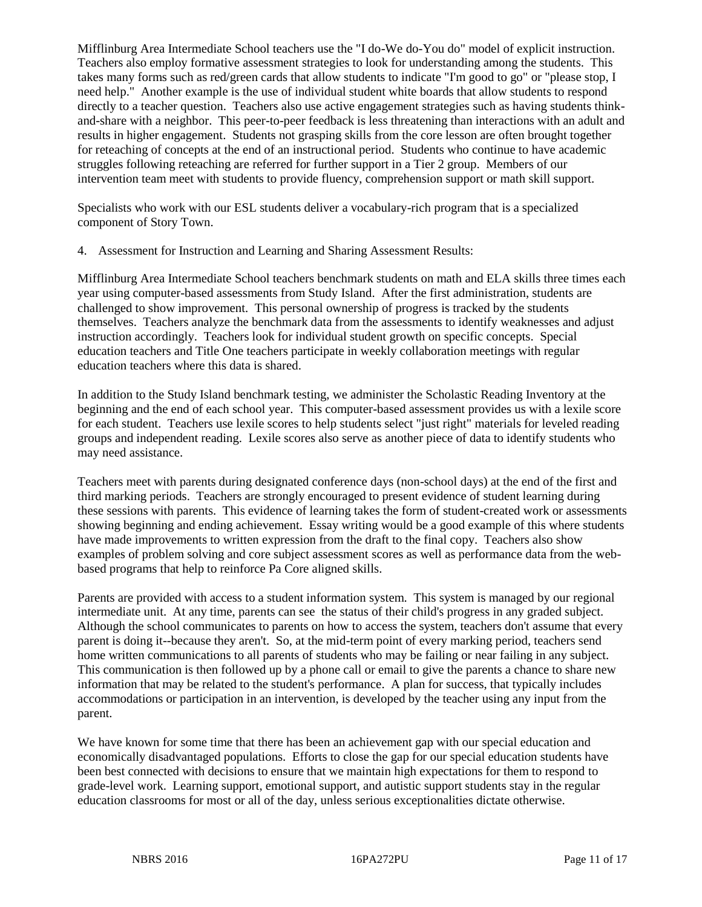Mifflinburg Area Intermediate School teachers use the "I do-We do-You do" model of explicit instruction. Teachers also employ formative assessment strategies to look for understanding among the students. This takes many forms such as red/green cards that allow students to indicate "I'm good to go" or "please stop, I need help." Another example is the use of individual student white boards that allow students to respond directly to a teacher question. Teachers also use active engagement strategies such as having students thinkand-share with a neighbor. This peer-to-peer feedback is less threatening than interactions with an adult and results in higher engagement. Students not grasping skills from the core lesson are often brought together for reteaching of concepts at the end of an instructional period. Students who continue to have academic struggles following reteaching are referred for further support in a Tier 2 group. Members of our intervention team meet with students to provide fluency, comprehension support or math skill support.

Specialists who work with our ESL students deliver a vocabulary-rich program that is a specialized component of Story Town.

4. Assessment for Instruction and Learning and Sharing Assessment Results:

Mifflinburg Area Intermediate School teachers benchmark students on math and ELA skills three times each year using computer-based assessments from Study Island. After the first administration, students are challenged to show improvement. This personal ownership of progress is tracked by the students themselves. Teachers analyze the benchmark data from the assessments to identify weaknesses and adjust instruction accordingly. Teachers look for individual student growth on specific concepts. Special education teachers and Title One teachers participate in weekly collaboration meetings with regular education teachers where this data is shared.

In addition to the Study Island benchmark testing, we administer the Scholastic Reading Inventory at the beginning and the end of each school year. This computer-based assessment provides us with a lexile score for each student. Teachers use lexile scores to help students select "just right" materials for leveled reading groups and independent reading. Lexile scores also serve as another piece of data to identify students who may need assistance.

Teachers meet with parents during designated conference days (non-school days) at the end of the first and third marking periods. Teachers are strongly encouraged to present evidence of student learning during these sessions with parents. This evidence of learning takes the form of student-created work or assessments showing beginning and ending achievement. Essay writing would be a good example of this where students have made improvements to written expression from the draft to the final copy. Teachers also show examples of problem solving and core subject assessment scores as well as performance data from the webbased programs that help to reinforce Pa Core aligned skills.

Parents are provided with access to a student information system. This system is managed by our regional intermediate unit. At any time, parents can see the status of their child's progress in any graded subject. Although the school communicates to parents on how to access the system, teachers don't assume that every parent is doing it--because they aren't. So, at the mid-term point of every marking period, teachers send home written communications to all parents of students who may be failing or near failing in any subject. This communication is then followed up by a phone call or email to give the parents a chance to share new information that may be related to the student's performance. A plan for success, that typically includes accommodations or participation in an intervention, is developed by the teacher using any input from the parent.

We have known for some time that there has been an achievement gap with our special education and economically disadvantaged populations. Efforts to close the gap for our special education students have been best connected with decisions to ensure that we maintain high expectations for them to respond to grade-level work. Learning support, emotional support, and autistic support students stay in the regular education classrooms for most or all of the day, unless serious exceptionalities dictate otherwise.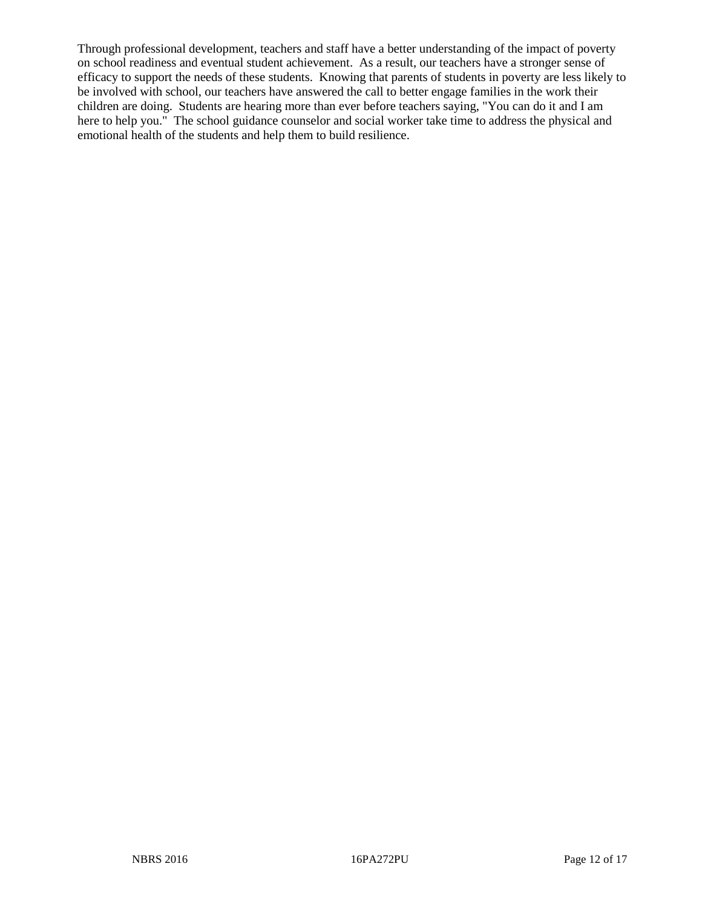Through professional development, teachers and staff have a better understanding of the impact of poverty on school readiness and eventual student achievement. As a result, our teachers have a stronger sense of efficacy to support the needs of these students. Knowing that parents of students in poverty are less likely to be involved with school, our teachers have answered the call to better engage families in the work their children are doing. Students are hearing more than ever before teachers saying, "You can do it and I am here to help you." The school guidance counselor and social worker take time to address the physical and emotional health of the students and help them to build resilience.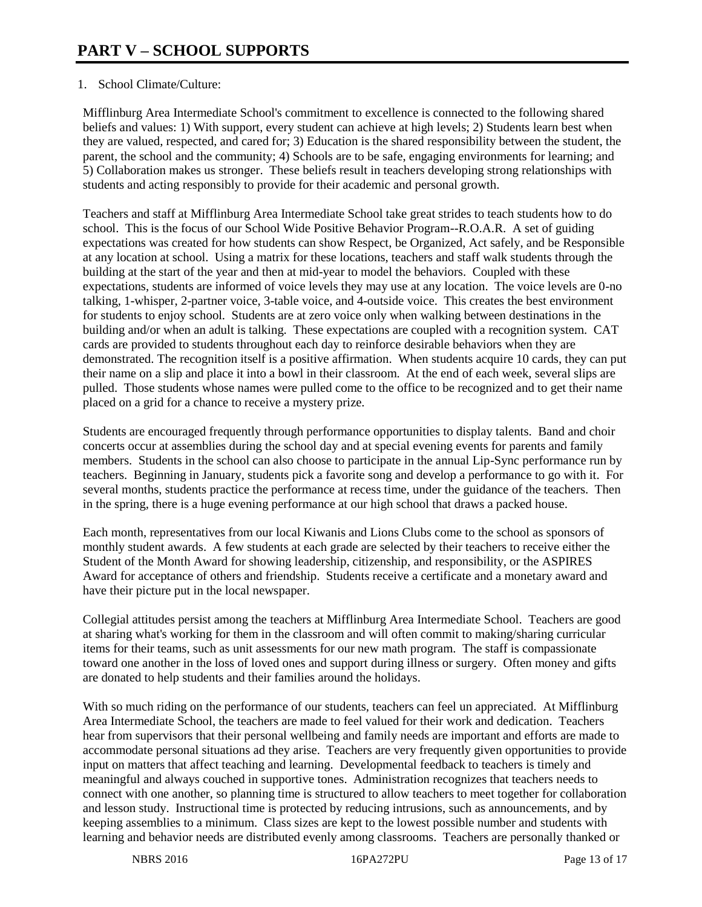# 1. School Climate/Culture:

Mifflinburg Area Intermediate School's commitment to excellence is connected to the following shared beliefs and values: 1) With support, every student can achieve at high levels; 2) Students learn best when they are valued, respected, and cared for; 3) Education is the shared responsibility between the student, the parent, the school and the community; 4) Schools are to be safe, engaging environments for learning; and 5) Collaboration makes us stronger. These beliefs result in teachers developing strong relationships with students and acting responsibly to provide for their academic and personal growth.

Teachers and staff at Mifflinburg Area Intermediate School take great strides to teach students how to do school. This is the focus of our School Wide Positive Behavior Program--R.O.A.R. A set of guiding expectations was created for how students can show Respect, be Organized, Act safely, and be Responsible at any location at school. Using a matrix for these locations, teachers and staff walk students through the building at the start of the year and then at mid-year to model the behaviors. Coupled with these expectations, students are informed of voice levels they may use at any location. The voice levels are 0-no talking, 1-whisper, 2-partner voice, 3-table voice, and 4-outside voice. This creates the best environment for students to enjoy school. Students are at zero voice only when walking between destinations in the building and/or when an adult is talking. These expectations are coupled with a recognition system. CAT cards are provided to students throughout each day to reinforce desirable behaviors when they are demonstrated. The recognition itself is a positive affirmation. When students acquire 10 cards, they can put their name on a slip and place it into a bowl in their classroom. At the end of each week, several slips are pulled. Those students whose names were pulled come to the office to be recognized and to get their name placed on a grid for a chance to receive a mystery prize.

Students are encouraged frequently through performance opportunities to display talents. Band and choir concerts occur at assemblies during the school day and at special evening events for parents and family members. Students in the school can also choose to participate in the annual Lip-Sync performance run by teachers. Beginning in January, students pick a favorite song and develop a performance to go with it. For several months, students practice the performance at recess time, under the guidance of the teachers. Then in the spring, there is a huge evening performance at our high school that draws a packed house.

Each month, representatives from our local Kiwanis and Lions Clubs come to the school as sponsors of monthly student awards. A few students at each grade are selected by their teachers to receive either the Student of the Month Award for showing leadership, citizenship, and responsibility, or the ASPIRES Award for acceptance of others and friendship. Students receive a certificate and a monetary award and have their picture put in the local newspaper.

Collegial attitudes persist among the teachers at Mifflinburg Area Intermediate School. Teachers are good at sharing what's working for them in the classroom and will often commit to making/sharing curricular items for their teams, such as unit assessments for our new math program. The staff is compassionate toward one another in the loss of loved ones and support during illness or surgery. Often money and gifts are donated to help students and their families around the holidays.

With so much riding on the performance of our students, teachers can feel un appreciated. At Mifflinburg Area Intermediate School, the teachers are made to feel valued for their work and dedication. Teachers hear from supervisors that their personal wellbeing and family needs are important and efforts are made to accommodate personal situations ad they arise. Teachers are very frequently given opportunities to provide input on matters that affect teaching and learning. Developmental feedback to teachers is timely and meaningful and always couched in supportive tones. Administration recognizes that teachers needs to connect with one another, so planning time is structured to allow teachers to meet together for collaboration and lesson study. Instructional time is protected by reducing intrusions, such as announcements, and by keeping assemblies to a minimum. Class sizes are kept to the lowest possible number and students with learning and behavior needs are distributed evenly among classrooms. Teachers are personally thanked or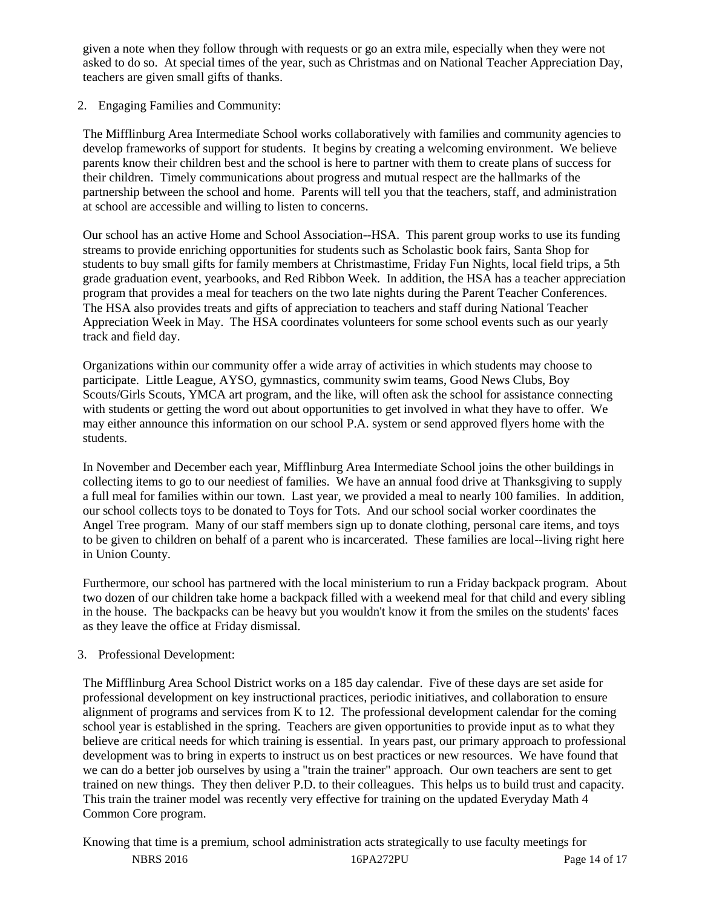given a note when they follow through with requests or go an extra mile, especially when they were not asked to do so. At special times of the year, such as Christmas and on National Teacher Appreciation Day, teachers are given small gifts of thanks.

2. Engaging Families and Community:

The Mifflinburg Area Intermediate School works collaboratively with families and community agencies to develop frameworks of support for students. It begins by creating a welcoming environment. We believe parents know their children best and the school is here to partner with them to create plans of success for their children. Timely communications about progress and mutual respect are the hallmarks of the partnership between the school and home. Parents will tell you that the teachers, staff, and administration at school are accessible and willing to listen to concerns.

Our school has an active Home and School Association--HSA. This parent group works to use its funding streams to provide enriching opportunities for students such as Scholastic book fairs, Santa Shop for students to buy small gifts for family members at Christmastime, Friday Fun Nights, local field trips, a 5th grade graduation event, yearbooks, and Red Ribbon Week. In addition, the HSA has a teacher appreciation program that provides a meal for teachers on the two late nights during the Parent Teacher Conferences. The HSA also provides treats and gifts of appreciation to teachers and staff during National Teacher Appreciation Week in May. The HSA coordinates volunteers for some school events such as our yearly track and field day.

Organizations within our community offer a wide array of activities in which students may choose to participate. Little League, AYSO, gymnastics, community swim teams, Good News Clubs, Boy Scouts/Girls Scouts, YMCA art program, and the like, will often ask the school for assistance connecting with students or getting the word out about opportunities to get involved in what they have to offer. We may either announce this information on our school P.A. system or send approved flyers home with the students.

In November and December each year, Mifflinburg Area Intermediate School joins the other buildings in collecting items to go to our neediest of families. We have an annual food drive at Thanksgiving to supply a full meal for families within our town. Last year, we provided a meal to nearly 100 families. In addition, our school collects toys to be donated to Toys for Tots. And our school social worker coordinates the Angel Tree program. Many of our staff members sign up to donate clothing, personal care items, and toys to be given to children on behalf of a parent who is incarcerated. These families are local--living right here in Union County.

Furthermore, our school has partnered with the local ministerium to run a Friday backpack program. About two dozen of our children take home a backpack filled with a weekend meal for that child and every sibling in the house. The backpacks can be heavy but you wouldn't know it from the smiles on the students' faces as they leave the office at Friday dismissal.

# 3. Professional Development:

The Mifflinburg Area School District works on a 185 day calendar. Five of these days are set aside for professional development on key instructional practices, periodic initiatives, and collaboration to ensure alignment of programs and services from K to 12. The professional development calendar for the coming school year is established in the spring. Teachers are given opportunities to provide input as to what they believe are critical needs for which training is essential. In years past, our primary approach to professional development was to bring in experts to instruct us on best practices or new resources. We have found that we can do a better job ourselves by using a "train the trainer" approach. Our own teachers are sent to get trained on new things. They then deliver P.D. to their colleagues. This helps us to build trust and capacity. This train the trainer model was recently very effective for training on the updated Everyday Math 4 Common Core program.

NBRS 2016 16PA272PU Page 14 of 17 Knowing that time is a premium, school administration acts strategically to use faculty meetings for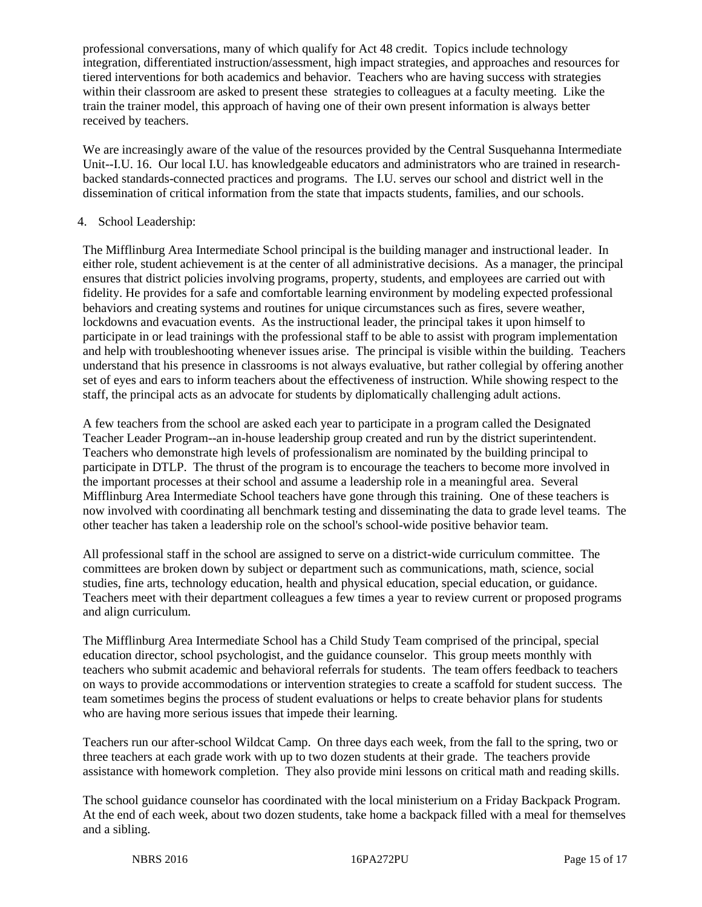professional conversations, many of which qualify for Act 48 credit. Topics include technology integration, differentiated instruction/assessment, high impact strategies, and approaches and resources for tiered interventions for both academics and behavior. Teachers who are having success with strategies within their classroom are asked to present these strategies to colleagues at a faculty meeting. Like the train the trainer model, this approach of having one of their own present information is always better received by teachers.

We are increasingly aware of the value of the resources provided by the Central Susquehanna Intermediate Unit--I.U. 16. Our local I.U. has knowledgeable educators and administrators who are trained in researchbacked standards-connected practices and programs. The I.U. serves our school and district well in the dissemination of critical information from the state that impacts students, families, and our schools.

# 4. School Leadership:

The Mifflinburg Area Intermediate School principal is the building manager and instructional leader. In either role, student achievement is at the center of all administrative decisions. As a manager, the principal ensures that district policies involving programs, property, students, and employees are carried out with fidelity. He provides for a safe and comfortable learning environment by modeling expected professional behaviors and creating systems and routines for unique circumstances such as fires, severe weather, lockdowns and evacuation events. As the instructional leader, the principal takes it upon himself to participate in or lead trainings with the professional staff to be able to assist with program implementation and help with troubleshooting whenever issues arise. The principal is visible within the building. Teachers understand that his presence in classrooms is not always evaluative, but rather collegial by offering another set of eyes and ears to inform teachers about the effectiveness of instruction. While showing respect to the staff, the principal acts as an advocate for students by diplomatically challenging adult actions.

A few teachers from the school are asked each year to participate in a program called the Designated Teacher Leader Program--an in-house leadership group created and run by the district superintendent. Teachers who demonstrate high levels of professionalism are nominated by the building principal to participate in DTLP. The thrust of the program is to encourage the teachers to become more involved in the important processes at their school and assume a leadership role in a meaningful area. Several Mifflinburg Area Intermediate School teachers have gone through this training. One of these teachers is now involved with coordinating all benchmark testing and disseminating the data to grade level teams. The other teacher has taken a leadership role on the school's school-wide positive behavior team.

All professional staff in the school are assigned to serve on a district-wide curriculum committee. The committees are broken down by subject or department such as communications, math, science, social studies, fine arts, technology education, health and physical education, special education, or guidance. Teachers meet with their department colleagues a few times a year to review current or proposed programs and align curriculum.

The Mifflinburg Area Intermediate School has a Child Study Team comprised of the principal, special education director, school psychologist, and the guidance counselor. This group meets monthly with teachers who submit academic and behavioral referrals for students. The team offers feedback to teachers on ways to provide accommodations or intervention strategies to create a scaffold for student success. The team sometimes begins the process of student evaluations or helps to create behavior plans for students who are having more serious issues that impede their learning.

Teachers run our after-school Wildcat Camp. On three days each week, from the fall to the spring, two or three teachers at each grade work with up to two dozen students at their grade. The teachers provide assistance with homework completion. They also provide mini lessons on critical math and reading skills.

The school guidance counselor has coordinated with the local ministerium on a Friday Backpack Program. At the end of each week, about two dozen students, take home a backpack filled with a meal for themselves and a sibling.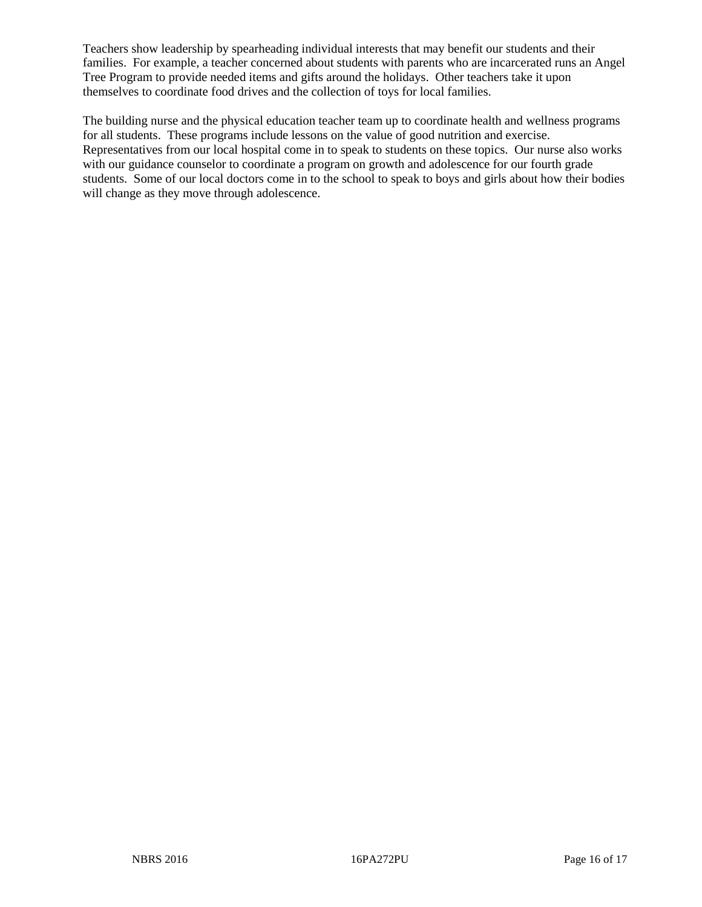Teachers show leadership by spearheading individual interests that may benefit our students and their families. For example, a teacher concerned about students with parents who are incarcerated runs an Angel Tree Program to provide needed items and gifts around the holidays. Other teachers take it upon themselves to coordinate food drives and the collection of toys for local families.

The building nurse and the physical education teacher team up to coordinate health and wellness programs for all students. These programs include lessons on the value of good nutrition and exercise. Representatives from our local hospital come in to speak to students on these topics. Our nurse also works with our guidance counselor to coordinate a program on growth and adolescence for our fourth grade students. Some of our local doctors come in to the school to speak to boys and girls about how their bodies will change as they move through adolescence.